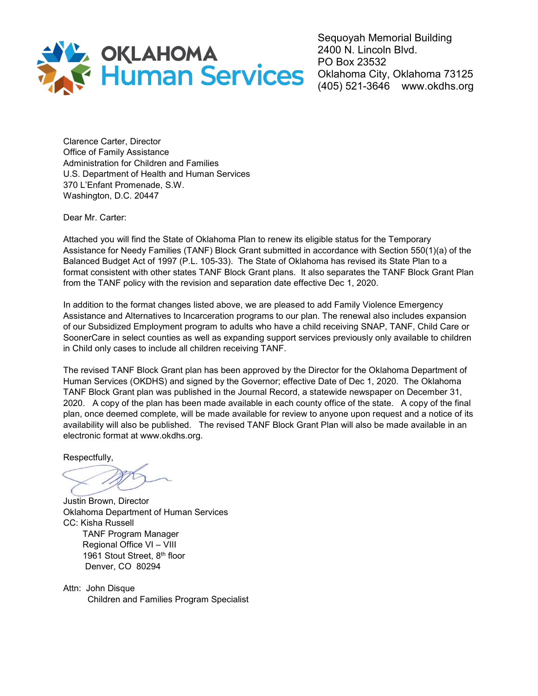

Sequoyah Memorial Building 2400 N. Lincoln Blvd. PO Box 23532 Oklahoma City, Oklahoma 73125 (405) 521-3646 www.okdhs.org

Clarence Carter, Director Office of Family Assistance Administration for Children and Families U.S. Department of Health and Human Services 370 L'Enfant Promenade, S.W. Washington, D.C. 20447

Dear Mr. Carter:

Attached you will find the State of Oklahoma Plan to renew its eligible status for the Temporary Assistance for Needy Families (TANF) Block Grant submitted in accordance with Section 550(1)(a) of the Balanced Budget Act of 1997 (P.L. 105-33). The State of Oklahoma has revised its State Plan to a format consistent with other states TANF Block Grant plans. It also separates the TANF Block Grant Plan from the TANF policy with the revision and separation date effective Dec 1, 2020.

In addition to the format changes listed above, we are pleased to add Family Violence Emergency Assistance and Alternatives to Incarceration programs to our plan. The renewal also includes expansion of our Subsidized Employment program to adults who have a child receiving SNAP, TANF, Child Care or SoonerCare in select counties as well as expanding support services previously only available to children in Child only cases to include all children receiving TANF.

The revised TANF Block Grant plan has been approved by the Director for the Oklahoma Department of Human Services (OKDHS) and signed by the Governor; effective Date of Dec 1, 2020. The Oklahoma TANF Block Grant plan was published in the Journal Record, a statewide newspaper on December 31, 2020. A copy of the plan has been made available in each county office of the state. A copy of the final plan, once deemed complete, will be made available for review to anyone upon request and a notice of its availability will also be published. The revised TANF Block Grant Plan will also be made available in an electronic format at www.okdhs.org.

Respectfully,

Justin Brown, Director Oklahoma Department of Human Services CC: Kisha Russell TANF Program Manager Regional Office VI – VIII 1961 Stout Street, 8<sup>th</sup> floor Denver, CO 80294

Attn: John Disque Children and Families Program Specialist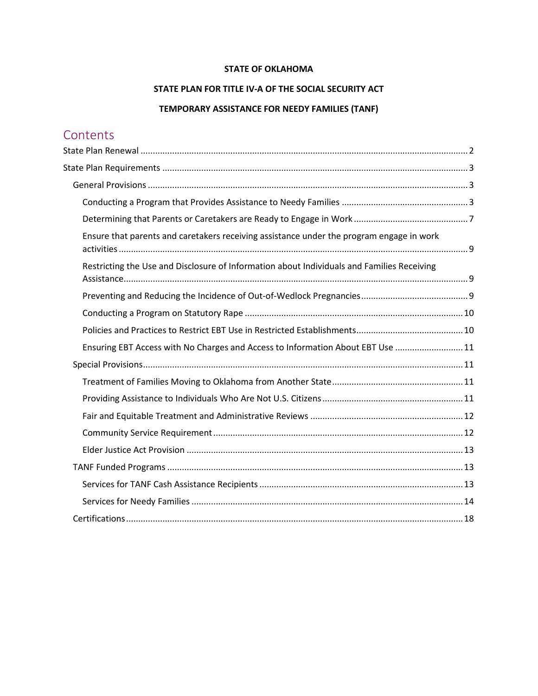### **STATE OF OKLAHOMA**

## **STATE PLAN FOR TITLE IV-A OF THE SOCIAL SECURITY ACT**

## **TEMPORARY ASSISTANCE FOR NEEDY FAMILIES (TANF)**

# **Contents**

| Ensure that parents and caretakers receiving assistance under the program engage in work   |  |
|--------------------------------------------------------------------------------------------|--|
| Restricting the Use and Disclosure of Information about Individuals and Families Receiving |  |
|                                                                                            |  |
|                                                                                            |  |
|                                                                                            |  |
| Ensuring EBT Access with No Charges and Access to Information About EBT Use  11            |  |
|                                                                                            |  |
|                                                                                            |  |
|                                                                                            |  |
|                                                                                            |  |
|                                                                                            |  |
|                                                                                            |  |
|                                                                                            |  |
|                                                                                            |  |
|                                                                                            |  |
|                                                                                            |  |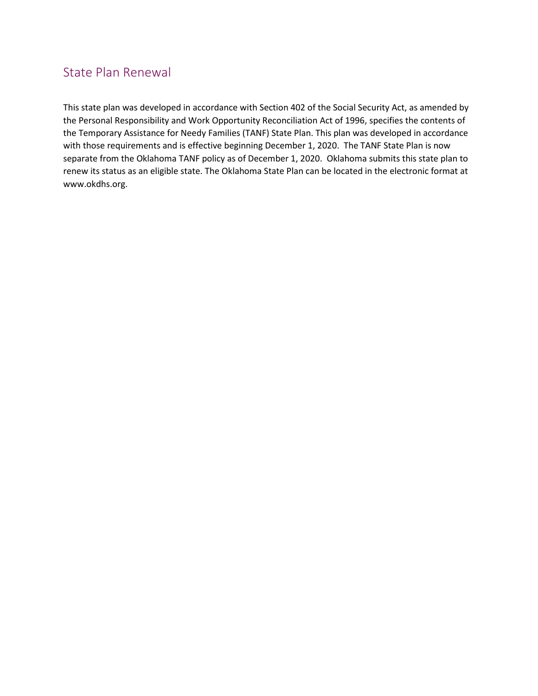# <span id="page-2-0"></span>State Plan Renewal

This state plan was developed in accordance with Section 402 of the Social Security Act, as amended by the Personal Responsibility and Work Opportunity Reconciliation Act of 1996, specifies the contents of the Temporary Assistance for Needy Families (TANF) State Plan. This plan was developed in accordance with those requirements and is effective beginning December 1, 2020. The TANF State Plan is now separate from the Oklahoma TANF policy as of December 1, 2020. Oklahoma submits this state plan to renew its status as an eligible state. The Oklahoma State Plan can be located in the electronic format at www.okdhs.org.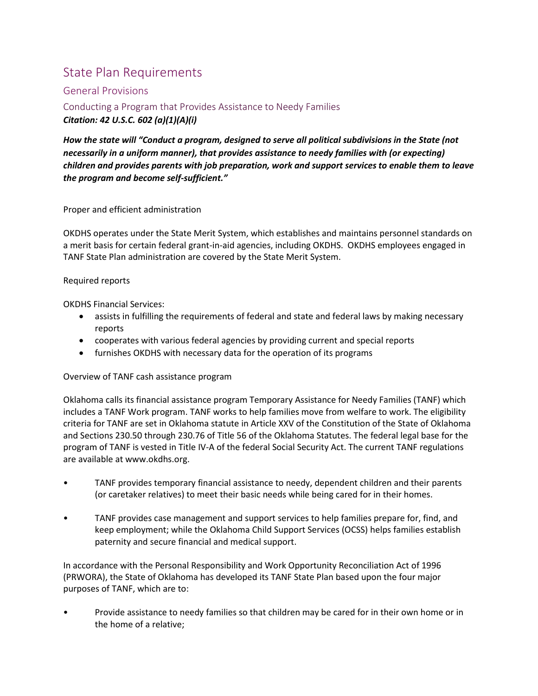# <span id="page-3-0"></span>State Plan Requirements

## <span id="page-3-1"></span>General Provisions

<span id="page-3-2"></span>Conducting a Program that Provides Assistance to Needy Families *Citation: 42 U.S.C. 602 (a)(1)(A)(i)*

*How the state will "Conduct a program, designed to serve all political subdivisions in the State (not necessarily in a uniform manner), that provides assistance to needy families with (or expecting) children and provides parents with job preparation, work and support services to enable them to leave the program and become self-sufficient."*

Proper and efficient administration

OKDHS operates under the State Merit System, which establishes and maintains personnel standards on a merit basis for certain federal grant-in-aid agencies, including OKDHS. OKDHS employees engaged in TANF State Plan administration are covered by the State Merit System.

## Required reports

OKDHS Financial Services:

- assists in fulfilling the requirements of federal and state and federal laws by making necessary reports
- cooperates with various federal agencies by providing current and special reports
- furnishes OKDHS with necessary data for the operation of its programs

Overview of TANF cash assistance program

Oklahoma calls its financial assistance program Temporary Assistance for Needy Families (TANF) which includes a TANF Work program. TANF works to help families move from welfare to work. The eligibility criteria for TANF are set in Oklahoma statute in Article XXV of the Constitution of the State of Oklahoma and Sections 230.50 through 230.76 of Title 56 of the Oklahoma Statutes. The federal legal base for the program of TANF is vested in Title IV-A of the federal Social Security Act. The current TANF regulations are available at www.okdhs.org.

- TANF provides temporary financial assistance to needy, dependent children and their parents (or caretaker relatives) to meet their basic needs while being cared for in their homes.
- TANF provides case management and support services to help families prepare for, find, and keep employment; while the Oklahoma Child Support Services (OCSS) helps families establish paternity and secure financial and medical support.

In accordance with the Personal Responsibility and Work Opportunity Reconciliation Act of 1996 (PRWORA), the State of Oklahoma has developed its TANF State Plan based upon the four major purposes of TANF, which are to:

• Provide assistance to needy families so that children may be cared for in their own home or in the home of a relative;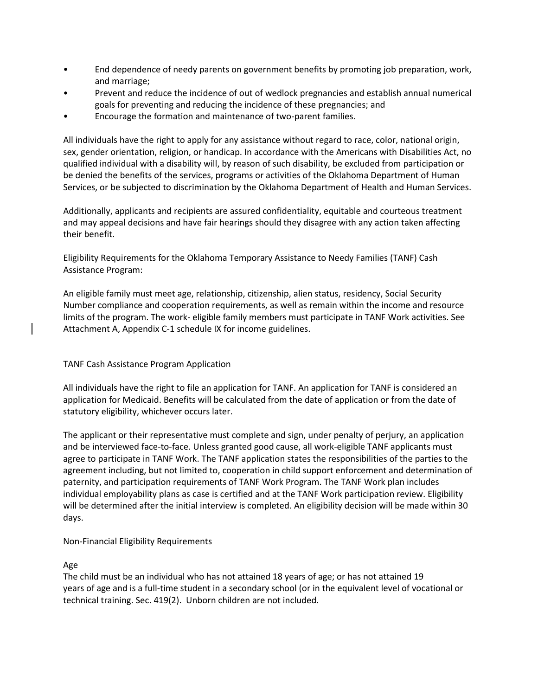- End dependence of needy parents on government benefits by promoting job preparation, work, and marriage;
- Prevent and reduce the incidence of out of wedlock pregnancies and establish annual numerical goals for preventing and reducing the incidence of these pregnancies; and
- Encourage the formation and maintenance of two-parent families.

All individuals have the right to apply for any assistance without regard to race, color, national origin, sex, gender orientation, religion, or handicap. In accordance with the Americans with Disabilities Act, no qualified individual with a disability will, by reason of such disability, be excluded from participation or be denied the benefits of the services, programs or activities of the Oklahoma Department of Human Services, or be subjected to discrimination by the Oklahoma Department of Health and Human Services.

Additionally, applicants and recipients are assured confidentiality, equitable and courteous treatment and may appeal decisions and have fair hearings should they disagree with any action taken affecting their benefit.

Eligibility Requirements for the Oklahoma Temporary Assistance to Needy Families (TANF) Cash Assistance Program:

An eligible family must meet age, relationship, citizenship, alien status, residency, Social Security Number compliance and cooperation requirements, as well as remain within the income and resource limits of the program. The work- eligible family members must participate in TANF Work activities. See Attachment A, Appendix C-1 schedule IX for income guidelines.

### TANF Cash Assistance Program Application

All individuals have the right to file an application for TANF. An application for TANF is considered an application for Medicaid. Benefits will be calculated from the date of application or from the date of statutory eligibility, whichever occurs later.

The applicant or their representative must complete and sign, under penalty of perjury, an application and be interviewed face-to-face. Unless granted good cause, all work-eligible TANF applicants must agree to participate in TANF Work. The TANF application states the responsibilities of the parties to the agreement including, but not limited to, cooperation in child support enforcement and determination of paternity, and participation requirements of TANF Work Program. The TANF Work plan includes individual employability plans as case is certified and at the TANF Work participation review. Eligibility will be determined after the initial interview is completed. An eligibility decision will be made within 30 days.

### Non-Financial Eligibility Requirements

#### Age

The child must be an individual who has not attained 18 years of age; or has not attained 19 years of age and is a full-time student in a secondary school (or in the equivalent level of vocational or technical training. Sec. 419(2). Unborn children are not included.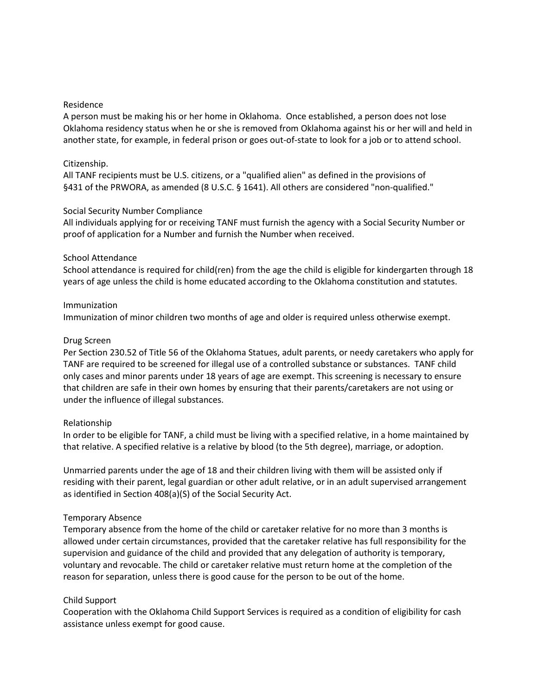#### Residence

A person must be making his or her home in Oklahoma. Once established, a person does not lose Oklahoma residency status when he or she is removed from Oklahoma against his or her will and held in another state, for example, in federal prison or goes out-of-state to look for a job or to attend school.

#### Citizenship.

All TANF recipients must be U.S. citizens, or a "qualified alien" as defined in the provisions of §431 of the PRWORA, as amended (8 U.S.C. § 1641). All others are considered "non-qualified."

#### Social Security Number Compliance

All individuals applying for or receiving TANF must furnish the agency with a Social Security Number or proof of application for a Number and furnish the Number when received.

#### School Attendance

School attendance is required for child(ren) from the age the child is eligible for kindergarten through 18 years of age unless the child is home educated according to the Oklahoma constitution and statutes.

#### Immunization

Immunization of minor children two months of age and older is required unless otherwise exempt.

#### Drug Screen

Per Section 230.52 of Title 56 of the Oklahoma Statues, adult parents, or needy caretakers who apply for TANF are required to be screened for illegal use of a controlled substance or substances. TANF child only cases and minor parents under 18 years of age are exempt. This screening is necessary to ensure that children are safe in their own homes by ensuring that their parents/caretakers are not using or under the influence of illegal substances.

#### Relationship

In order to be eligible for TANF, a child must be living with a specified relative, in a home maintained by that relative. A specified relative is a relative by blood (to the 5th degree), marriage, or adoption.

Unmarried parents under the age of 18 and their children living with them will be assisted only if residing with their parent, legal guardian or other adult relative, or in an adult supervised arrangement as identified in Section 408(a)(S) of the Social Security Act.

#### Temporary Absence

Temporary absence from the home of the child or caretaker relative for no more than 3 months is allowed under certain circumstances, provided that the caretaker relative has full responsibility for the supervision and guidance of the child and provided that any delegation of authority is temporary, voluntary and revocable. The child or caretaker relative must return home at the completion of the reason for separation, unless there is good cause for the person to be out of the home.

#### Child Support

Cooperation with the Oklahoma Child Support Services is required as a condition of eligibility for cash assistance unless exempt for good cause.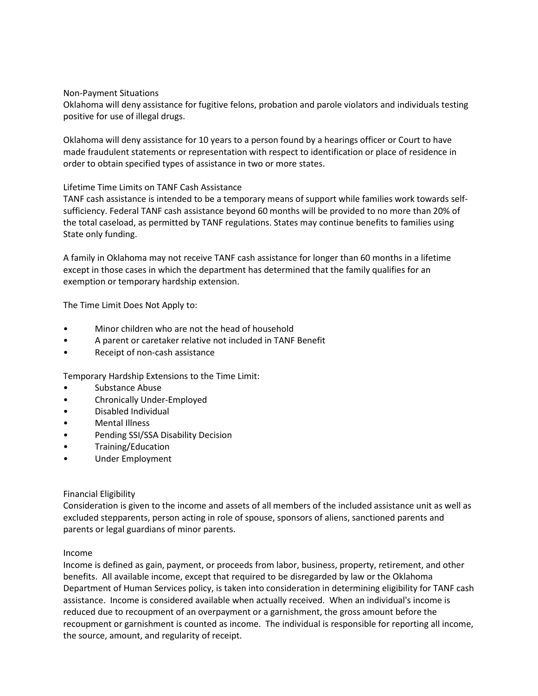#### Non-Payment Situations

Oklahoma will deny assistance for fugitive felons, probation and parole violators and individuals testing positive for use of illegal drugs.

Oklahoma will deny assistance for 10 years to a person found by a hearings officer or Court to have made fraudulent statements or representation with respect to identification or place of residence in order to obtain specified types of assistance in two or more states.

#### Lifetime Time Limits on TANF Cash Assistance

TANF cash assistance is intended to be a temporary means of support while families work towards selfsufficiency. Federal TANF cash assistance beyond 60 months will be provided to no more than 20% of the total caseload, as permitted by TANF regulations. States may continue benefits to families using State only funding.

A family in Oklahoma may not receive TANF cash assistance for longer than 60 months in a lifetime except in those cases in which the department has determined that the family qualifies for an exemption or temporary hardship extension.

The Time Limit Does Not Apply to:

- Minor children who are not the head of household
- A parent or caretaker relative not included in TANF Benefit
- Receipt of non-cash assistance

Temporary Hardship Extensions to the Time Limit:

- Substance Abuse
- Chronically Under-Employed
- Disabled Individual
- Mental Illness
- Pending SSI/SSA Disability Decision
- Training/Education
- Under Employment

### Financial Eligibility

Consideration is given to the income and assets of all members of the included assistance unit as well as excluded stepparents, person acting in role of spouse, sponsors of aliens, sanctioned parents and parents or legal guardians of minor parents.

#### Income

Income is defined as gain, payment, or proceeds from labor, business, property, retirement, and other benefits. All available income, except that required to be disregarded by law or the Oklahoma Department of Human Services policy, is taken into consideration in determining eligibility for TANF cash assistance. Income is considered available when actually received. When an individual's income is reduced due to recoupment of an overpayment or a garnishment, the gross amount before the recoupment or garnishment is counted as income. The individual is responsible for reporting all income, the source, amount, and regularity of receipt.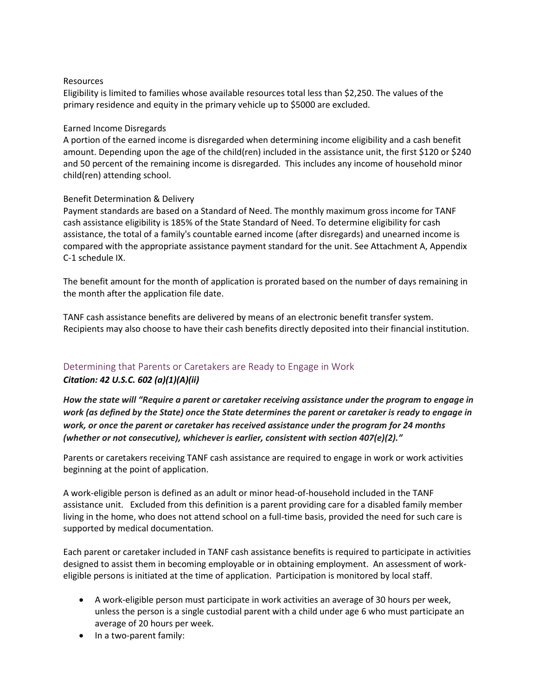#### Resources

Eligibility is limited to families whose available resources total less than \$2,250. The values of the primary residence and equity in the primary vehicle up to \$5000 are excluded.

#### Earned Income Disregards

A portion of the earned income is disregarded when determining income eligibility and a cash benefit amount. Depending upon the age of the child(ren) included in the assistance unit, the first \$120 or \$240 and 50 percent of the remaining income is disregarded. This includes any income of household minor child(ren) attending school.

### Benefit Determination & Delivery

Payment standards are based on a Standard of Need. The monthly maximum gross income for TANF cash assistance eligibility is 185% of the State Standard of Need. To determine eligibility for cash assistance, the total of a family's countable earned income (after disregards) and unearned income is compared with the appropriate assistance payment standard for the unit. See Attachment A, Appendix C-1 schedule IX.

The benefit amount for the month of application is prorated based on the number of days remaining in the month after the application file date.

TANF cash assistance benefits are delivered by means of an electronic benefit transfer system. Recipients may also choose to have their cash benefits directly deposited into their financial institution.

# <span id="page-7-0"></span>Determining that Parents or Caretakers are Ready to Engage in Work

### *Citation: 42 U.S.C. 602 (a)(1)(A)(ii)*

*How the state will "Require a parent or caretaker receiving assistance under the program to engage in work (as defined by the State) once the State determines the parent or caretaker is ready to engage in work, or once the parent or caretaker has received assistance under the program for 24 months (whether or not consecutive), whichever is earlier, consistent with section 407(e)(2)."*

Parents or caretakers receiving TANF cash assistance are required to engage in work or work activities beginning at the point of application.

A work-eligible person is defined as an adult or minor head-of-household included in the TANF assistance unit. Excluded from this definition is a parent providing care for a disabled family member living in the home, who does not attend school on a full-time basis, provided the need for such care is supported by medical documentation.

Each parent or caretaker included in TANF cash assistance benefits is required to participate in activities designed to assist them in becoming employable or in obtaining employment. An assessment of workeligible persons is initiated at the time of application. Participation is monitored by local staff.

- A work-eligible person must participate in work activities an average of 30 hours per week, unless the person is a single custodial parent with a child under age 6 who must participate an average of 20 hours per week.
- In a two-parent family: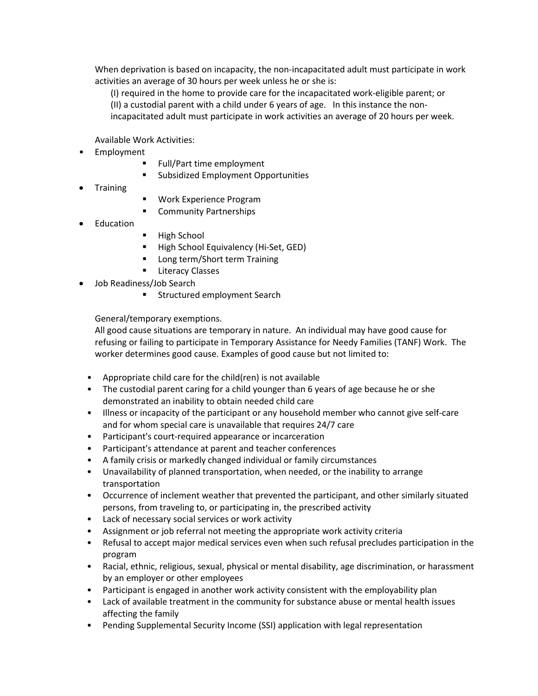When deprivation is based on incapacity, the non-incapacitated adult must participate in work activities an average of 30 hours per week unless he or she is:

(I) required in the home to provide care for the incapacitated work-eligible parent; or (II) a custodial parent with a child under 6 years of age. In this instance the nonincapacitated adult must participate in work activities an average of 20 hours per week.

Available Work Activities:

- Employment
	- Full/Part time employment
	- Subsidized Employment Opportunities
- **Training**
- Work Experience Program
- Community Partnerships
- **Education**
- High School
- High School Equivalency (Hi-Set, GED)
- Long term/Short term Training
- **E** Literacy Classes
- Job Readiness/Job Search
	- **EXECUTED Structured employment Search**

General/temporary exemptions.

All good cause situations are temporary in nature. An individual may have good cause for refusing or failing to participate in Temporary Assistance for Needy Families (TANF) Work. The worker determines good cause. Examples of good cause but not limited to:

- Appropriate child care for the child(ren) is not available
- The custodial parent caring for a child younger than 6 years of age because he or she demonstrated an inability to obtain needed child care
- Illness or incapacity of the participant or any household member who cannot give self-care and for whom special care is unavailable that requires 24/7 care
- Participant's court-required appearance or incarceration
- Participant's attendance at parent and teacher conferences
- A family crisis or markedly changed individual or family circumstances
- Unavailability of planned transportation, when needed, or the inability to arrange transportation
- Occurrence of inclement weather that prevented the participant, and other similarly situated persons, from traveling to, or participating in, the prescribed activity
- Lack of necessary social services or work activity
- Assignment or job referral not meeting the appropriate work activity criteria
- Refusal to accept major medical services even when such refusal precludes participation in the program
- Racial, ethnic, religious, sexual, physical or mental disability, age discrimination, or harassment by an employer or other employees
- Participant is engaged in another work activity consistent with the employability plan
- Lack of available treatment in the community for substance abuse or mental health issues affecting the family
- Pending Supplemental Security Income (SSI) application with legal representation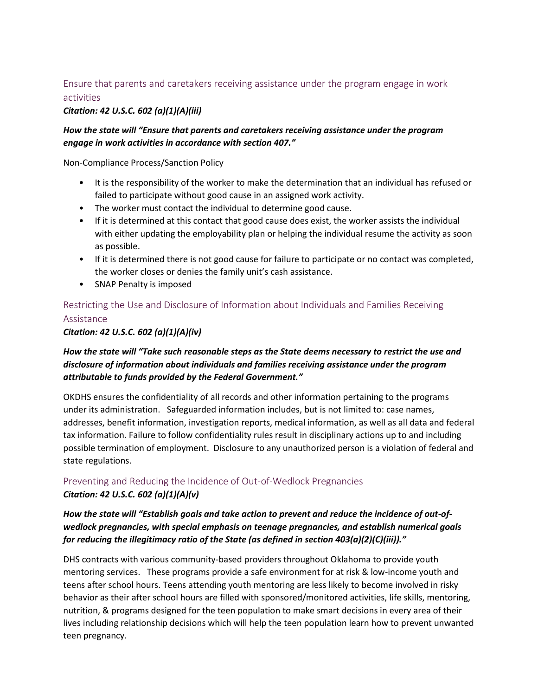## <span id="page-9-0"></span>Ensure that parents and caretakers receiving assistance under the program engage in work activities

## *Citation: 42 U.S.C. 602 (a)(1)(A)(iii)*

## *How the state will "Ensure that parents and caretakers receiving assistance under the program engage in work activities in accordance with section 407."*

Non-Compliance Process/Sanction Policy

- It is the responsibility of the worker to make the determination that an individual has refused or failed to participate without good cause in an assigned work activity.
- The worker must contact the individual to determine good cause.
- If it is determined at this contact that good cause does exist, the worker assists the individual with either updating the employability plan or helping the individual resume the activity as soon as possible.
- If it is determined there is not good cause for failure to participate or no contact was completed, the worker closes or denies the family unit's cash assistance.
- SNAP Penalty is imposed

# <span id="page-9-1"></span>Restricting the Use and Disclosure of Information about Individuals and Families Receiving Assistance

*Citation: 42 U.S.C. 602 (a)(1)(A)(iv)*

## *How the state will "Take such reasonable steps as the State deems necessary to restrict the use and disclosure of information about individuals and families receiving assistance under the program attributable to funds provided by the Federal Government."*

OKDHS ensures the confidentiality of all records and other information pertaining to the programs under its administration. Safeguarded information includes, but is not limited to: case names, addresses, benefit information, investigation reports, medical information, as well as all data and federal tax information. Failure to follow confidentiality rules result in disciplinary actions up to and including possible termination of employment. Disclosure to any unauthorized person is a violation of federal and state regulations.

## <span id="page-9-2"></span>Preventing and Reducing the Incidence of Out-of-Wedlock Pregnancies *Citation: 42 U.S.C. 602 (a)(1)(A)(v)*

## *How the state will "Establish goals and take action to prevent and reduce the incidence of out-ofwedlock pregnancies, with special emphasis on teenage pregnancies, and establish numerical goals for reducing the illegitimacy ratio of the State (as defined in section 403(a)(2)(C)(iii))."*

DHS contracts with various community-based providers throughout Oklahoma to provide youth mentoring services. These programs provide a safe environment for at risk & low-income youth and teens after school hours. Teens attending youth mentoring are less likely to become involved in risky behavior as their after school hours are filled with sponsored/monitored activities, life skills, mentoring, nutrition, & programs designed for the teen population to make smart decisions in every area of their lives including relationship decisions which will help the teen population learn how to prevent unwanted teen pregnancy.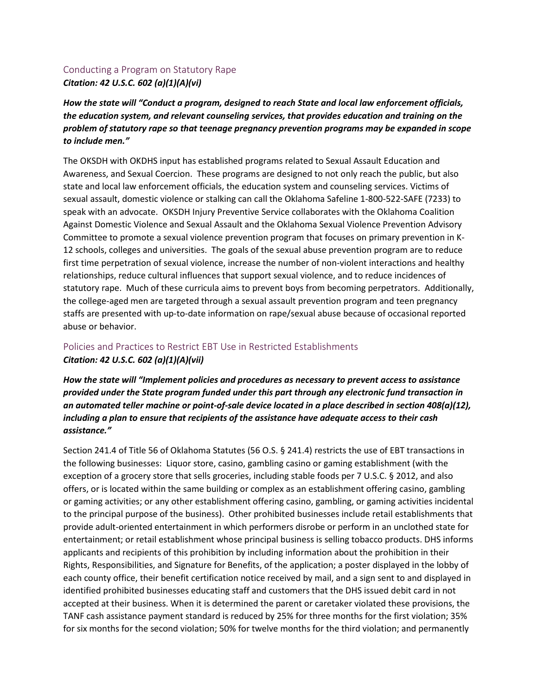## <span id="page-10-0"></span>Conducting a Program on Statutory Rape *Citation: 42 U.S.C. 602 (a)(1)(A)(vi)*

*How the state will "Conduct a program, designed to reach State and local law enforcement officials, the education system, and relevant counseling services, that provides education and training on the problem of statutory rape so that teenage pregnancy prevention programs may be expanded in scope to include men."*

The OKSDH with OKDHS input has established programs related to Sexual Assault Education and Awareness, and Sexual Coercion. These programs are designed to not only reach the public, but also state and local law enforcement officials, the education system and counseling services. Victims of sexual assault, domestic violence or stalking can call the Oklahoma Safeline 1-800-522-SAFE (7233) to speak with an advocate. OKSDH Injury Preventive Service collaborates with the Oklahoma Coalition Against Domestic Violence and Sexual Assault and the Oklahoma Sexual Violence Prevention Advisory Committee to promote a sexual violence prevention program that focuses on primary prevention in K-12 schools, colleges and universities. The goals of the sexual abuse prevention program are to reduce first time perpetration of sexual violence, increase the number of non-violent interactions and healthy relationships, reduce cultural influences that support sexual violence, and to reduce incidences of statutory rape. Much of these curricula aims to prevent boys from becoming perpetrators. Additionally, the college-aged men are targeted through a sexual assault prevention program and teen pregnancy staffs are presented with up-to-date information on rape/sexual abuse because of occasional reported abuse or behavior.

## <span id="page-10-1"></span>Policies and Practices to Restrict EBT Use in Restricted Establishments *Citation: 42 U.S.C. 602 (a)(1)(A)(vii)*

*How the state will "Implement policies and procedures as necessary to prevent access to assistance provided under the State program funded under this part through any electronic fund transaction in an automated teller machine or point-of-sale device located in a place described in section 408(a)(12), including a plan to ensure that recipients of the assistance have adequate access to their cash assistance."*

Section 241.4 of Title 56 of Oklahoma Statutes (56 O.S. § 241.4) restricts the use of EBT transactions in the following businesses: Liquor store, casino, gambling casino or gaming establishment (with the exception of a grocery store that sells groceries, including stable foods per 7 U.S.C. § 2012, and also offers, or is located within the same building or complex as an establishment offering casino, gambling or gaming activities; or any other establishment offering casino, gambling, or gaming activities incidental to the principal purpose of the business). Other prohibited businesses include retail establishments that provide adult-oriented entertainment in which performers disrobe or perform in an unclothed state for entertainment; or retail establishment whose principal business is selling tobacco products. DHS informs applicants and recipients of this prohibition by including information about the prohibition in their Rights, Responsibilities, and Signature for Benefits, of the application; a poster displayed in the lobby of each county office, their benefit certification notice received by mail, and a sign sent to and displayed in identified prohibited businesses educating staff and customers that the DHS issued debit card in not accepted at their business. When it is determined the parent or caretaker violated these provisions, the TANF cash assistance payment standard is reduced by 25% for three months for the first violation; 35% for six months for the second violation; 50% for twelve months for the third violation; and permanently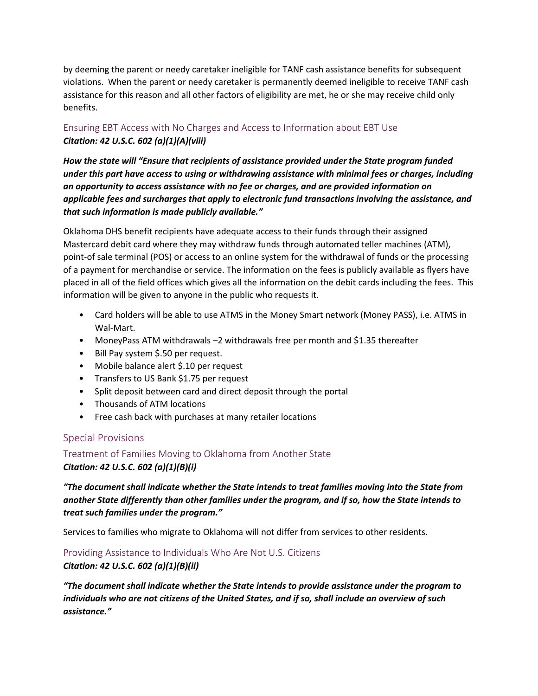by deeming the parent or needy caretaker ineligible for TANF cash assistance benefits for subsequent violations. When the parent or needy caretaker is permanently deemed ineligible to receive TANF cash assistance for this reason and all other factors of eligibility are met, he or she may receive child only benefits.

## <span id="page-11-0"></span>Ensuring EBT Access with No Charges and Access to Information about EBT Use *Citation: 42 U.S.C. 602 (a)(1)(A)(viii)*

*How the state will "Ensure that recipients of assistance provided under the State program funded under this part have access to using or withdrawing assistance with minimal fees or charges, including an opportunity to access assistance with no fee or charges, and are provided information on applicable fees and surcharges that apply to electronic fund transactions involving the assistance, and that such information is made publicly available."*

Oklahoma DHS benefit recipients have adequate access to their funds through their assigned Mastercard debit card where they may withdraw funds through automated teller machines (ATM), point-of sale terminal (POS) or access to an online system for the withdrawal of funds or the processing of a payment for merchandise or service. The information on the fees is publicly available as flyers have placed in all of the field offices which gives all the information on the debit cards including the fees. This information will be given to anyone in the public who requests it.

- Card holders will be able to use ATMS in the Money Smart network (Money PASS), i.e. ATMS in Wal-Mart.
- MoneyPass ATM withdrawals –2 withdrawals free per month and \$1.35 thereafter
- Bill Pay system \$.50 per request.
- Mobile balance alert \$.10 per request
- Transfers to US Bank \$1.75 per request
- Split deposit between card and direct deposit through the portal
- Thousands of ATM locations
- Free cash back with purchases at many retailer locations

## <span id="page-11-1"></span>Special Provisions

<span id="page-11-2"></span>Treatment of Families Moving to Oklahoma from Another State *Citation: 42 U.S.C. 602 (a)(1)(B)(i)*

*"The document shall indicate whether the State intends to treat families moving into the State from another State differently than other families under the program, and if so, how the State intends to treat such families under the program."*

Services to families who migrate to Oklahoma will not differ from services to other residents.

<span id="page-11-3"></span>Providing Assistance to Individuals Who Are Not U.S. Citizens

*Citation: 42 U.S.C. 602 (a)(1)(B)(ii)*

*"The document shall indicate whether the State intends to provide assistance under the program to individuals who are not citizens of the United States, and if so, shall include an overview of such assistance."*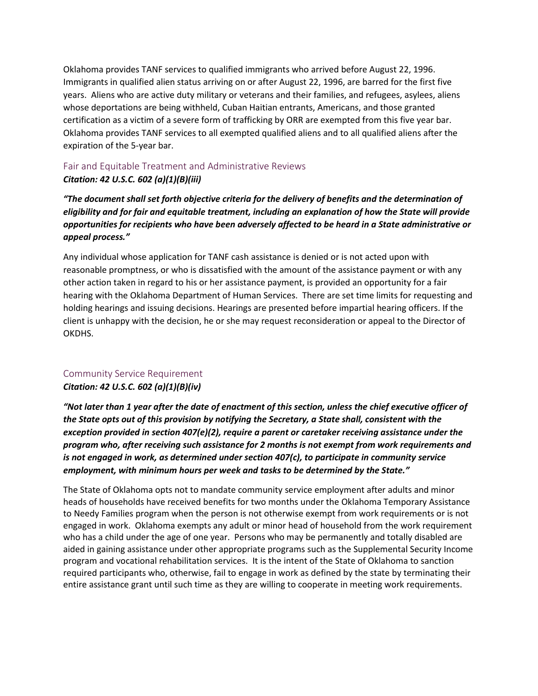Oklahoma provides TANF services to qualified immigrants who arrived before August 22, 1996. Immigrants in qualified alien status arriving on or after August 22, 1996, are barred for the first five years. Aliens who are active duty military or veterans and their families, and refugees, asylees, aliens whose deportations are being withheld, Cuban Haitian entrants, Americans, and those granted certification as a victim of a severe form of trafficking by ORR are exempted from this five year bar. Oklahoma provides TANF services to all exempted qualified aliens and to all qualified aliens after the expiration of the 5-year bar.

## <span id="page-12-0"></span>Fair and Equitable Treatment and Administrative Reviews *Citation: 42 U.S.C. 602 (a)(1)(B)(iii)*

*"The document shall set forth objective criteria for the delivery of benefits and the determination of eligibility and for fair and equitable treatment, including an explanation of how the State will provide opportunities for recipients who have been adversely affected to be heard in a State administrative or appeal process."*

Any individual whose application for TANF cash assistance is denied or is not acted upon with reasonable promptness, or who is dissatisfied with the amount of the assistance payment or with any other action taken in regard to his or her assistance payment, is provided an opportunity for a fair hearing with the Oklahoma Department of Human Services. There are set time limits for requesting and holding hearings and issuing decisions. Hearings are presented before impartial hearing officers. If the client is unhappy with the decision, he or she may request reconsideration or appeal to the Director of OKDHS.

## <span id="page-12-1"></span>Community Service Requirement

## *Citation: 42 U.S.C. 602 (a)(1)(B)(iv)*

*"Not later than 1 year after the date of enactment of this section, unless the chief executive officer of the State opts out of this provision by notifying the Secretary, a State shall, consistent with the exception provided in section 407(e)(2), require a parent or caretaker receiving assistance under the program who, after receiving such assistance for 2 months is not exempt from work requirements and is not engaged in work, as determined under section 407(c), to participate in community service employment, with minimum hours per week and tasks to be determined by the State."*

The State of Oklahoma opts not to mandate community service employment after adults and minor heads of households have received benefits for two months under the Oklahoma Temporary Assistance to Needy Families program when the person is not otherwise exempt from work requirements or is not engaged in work. Oklahoma exempts any adult or minor head of household from the work requirement who has a child under the age of one year. Persons who may be permanently and totally disabled are aided in gaining assistance under other appropriate programs such as the Supplemental Security Income program and vocational rehabilitation services. It is the intent of the State of Oklahoma to sanction required participants who, otherwise, fail to engage in work as defined by the state by terminating their entire assistance grant until such time as they are willing to cooperate in meeting work requirements.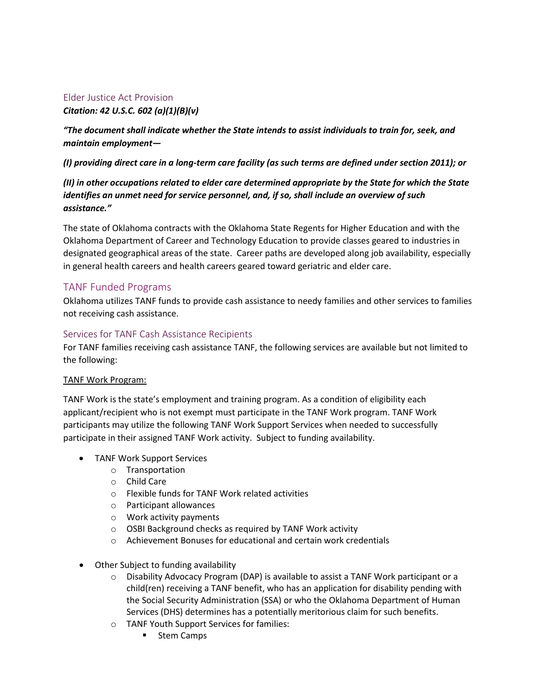## <span id="page-13-0"></span>Elder Justice Act Provision

## *Citation: 42 U.S.C. 602 (a)(1)(B)(v)*

*"The document shall indicate whether the State intends to assist individuals to train for, seek, and maintain employment—*

*(I) providing direct care in a long-term care facility (as such terms are defined under section 2011); or*

*(II) in other occupations related to elder care determined appropriate by the State for which the State identifies an unmet need for service personnel, and, if so, shall include an overview of such assistance."*

The state of Oklahoma contracts with the Oklahoma State Regents for Higher Education and with the Oklahoma Department of Career and Technology Education to provide classes geared to industries in designated geographical areas of the state. Career paths are developed along job availability, especially in general health careers and health careers geared toward geriatric and elder care.

## <span id="page-13-1"></span>TANF Funded Programs

Oklahoma utilizes TANF funds to provide cash assistance to needy families and other services to families not receiving cash assistance.

## <span id="page-13-2"></span>Services for TANF Cash Assistance Recipients

For TANF families receiving cash assistance TANF, the following services are available but not limited to the following:

### TANF Work Program:

TANF Work is the state's employment and training program. As a condition of eligibility each applicant/recipient who is not exempt must participate in the TANF Work program. TANF Work participants may utilize the following TANF Work Support Services when needed to successfully participate in their assigned TANF Work activity. Subject to funding availability.

- TANF Work Support Services
	- o Transportation
	- o Child Care
	- o Flexible funds for TANF Work related activities
	- o Participant allowances
	- o Work activity payments
	- o OSBI Background checks as required by TANF Work activity
	- o Achievement Bonuses for educational and certain work credentials
- Other Subject to funding availability
	- o Disability Advocacy Program (DAP) is available to assist a TANF Work participant or a child(ren) receiving a TANF benefit, who has an application for disability pending with the Social Security Administration (SSA) or who the Oklahoma Department of Human Services (DHS) determines has a potentially meritorious claim for such benefits.
	- o TANF Youth Support Services for families:
		- **Stem Camps**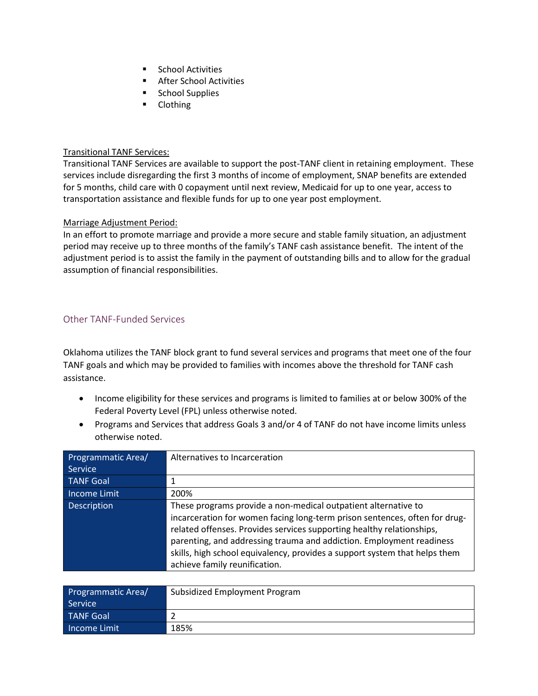- **School Activities**
- **After School Activities**
- **School Supplies**
- **-** Clothing

### Transitional TANF Services:

Transitional TANF Services are available to support the post-TANF client in retaining employment. These services include disregarding the first 3 months of income of employment, SNAP benefits are extended for 5 months, child care with 0 copayment until next review, Medicaid for up to one year, access to transportation assistance and flexible funds for up to one year post employment.

### Marriage Adjustment Period:

In an effort to promote marriage and provide a more secure and stable family situation, an adjustment period may receive up to three months of the family's TANF cash assistance benefit. The intent of the adjustment period is to assist the family in the payment of outstanding bills and to allow for the gradual assumption of financial responsibilities.

## <span id="page-14-0"></span>Other TANF-Funded Services

Oklahoma utilizes the TANF block grant to fund several services and programs that meet one of the four TANF goals and which may be provided to families with incomes above the threshold for TANF cash assistance.

- Income eligibility for these services and programs is limited to families at or below 300% of the Federal Poverty Level (FPL) unless otherwise noted.
- Programs and Services that address Goals 3 and/or 4 of TANF do not have income limits unless otherwise noted.

| Programmatic Area/<br>Service | Alternatives to Incarceration                                                                                                                                                                                                                                                                                                                                                                                |
|-------------------------------|--------------------------------------------------------------------------------------------------------------------------------------------------------------------------------------------------------------------------------------------------------------------------------------------------------------------------------------------------------------------------------------------------------------|
|                               |                                                                                                                                                                                                                                                                                                                                                                                                              |
| <b>TANF Goal</b>              |                                                                                                                                                                                                                                                                                                                                                                                                              |
| Income Limit                  | 200%                                                                                                                                                                                                                                                                                                                                                                                                         |
| <b>Description</b>            | These programs provide a non-medical outpatient alternative to<br>incarceration for women facing long-term prison sentences, often for drug-<br>related offenses. Provides services supporting healthy relationships,<br>parenting, and addressing trauma and addiction. Employment readiness<br>skills, high school equivalency, provides a support system that helps them<br>achieve family reunification. |

| <b>Programmatic Area/</b><br>Service | Subsidized Employment Program |
|--------------------------------------|-------------------------------|
| <b>TANF Goal</b>                     |                               |
| <b>Income Limit</b>                  | 185%                          |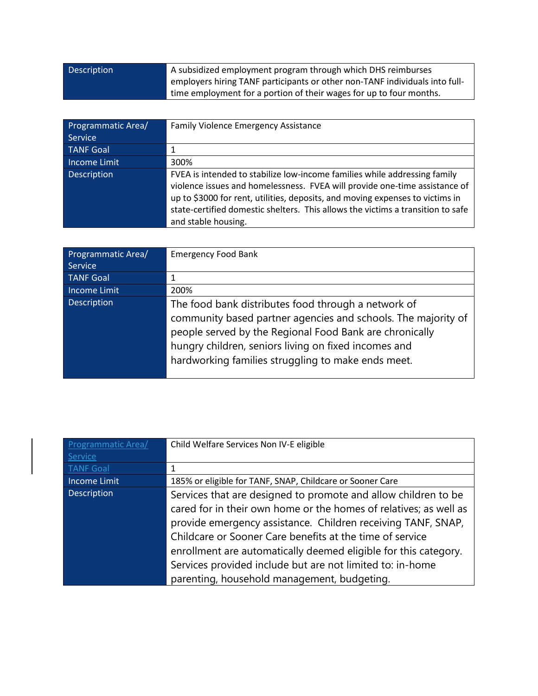| <b>Description</b> | A subsidized employment program through which DHS reimburses                |
|--------------------|-----------------------------------------------------------------------------|
|                    | employers hiring TANF participants or other non-TANF individuals into full- |
|                    | time employment for a portion of their wages for up to four months.         |

| Programmatic Area/ | <b>Family Violence Emergency Assistance</b>                                                                                                                                                                                                                                                                                                        |
|--------------------|----------------------------------------------------------------------------------------------------------------------------------------------------------------------------------------------------------------------------------------------------------------------------------------------------------------------------------------------------|
| Service            |                                                                                                                                                                                                                                                                                                                                                    |
| <b>TANF Goal</b>   |                                                                                                                                                                                                                                                                                                                                                    |
| Income Limit       | 300%                                                                                                                                                                                                                                                                                                                                               |
| <b>Description</b> | FVEA is intended to stabilize low-income families while addressing family<br>violence issues and homelessness. FVEA will provide one-time assistance of<br>up to \$3000 for rent, utilities, deposits, and moving expenses to victims in<br>state-certified domestic shelters. This allows the victims a transition to safe<br>and stable housing. |

| Programmatic Area/ | <b>Emergency Food Bank</b>                                                                                                                                                                                                                                                                    |
|--------------------|-----------------------------------------------------------------------------------------------------------------------------------------------------------------------------------------------------------------------------------------------------------------------------------------------|
| Service            |                                                                                                                                                                                                                                                                                               |
| <b>TANF Goal</b>   |                                                                                                                                                                                                                                                                                               |
| Income Limit       | 200%                                                                                                                                                                                                                                                                                          |
| Description        | The food bank distributes food through a network of<br>community based partner agencies and schools. The majority of<br>people served by the Regional Food Bank are chronically<br>hungry children, seniors living on fixed incomes and<br>hardworking families struggling to make ends meet. |

| Programmatic Area/  | Child Welfare Services Non IV-E eligible                          |
|---------------------|-------------------------------------------------------------------|
| Service             |                                                                   |
| <b>TANF Goal</b>    |                                                                   |
| <b>Income Limit</b> | 185% or eligible for TANF, SNAP, Childcare or Sooner Care         |
| Description         | Services that are designed to promote and allow children to be    |
|                     | cared for in their own home or the homes of relatives; as well as |
|                     | provide emergency assistance. Children receiving TANF, SNAP,      |
|                     | Childcare or Sooner Care benefits at the time of service          |
|                     | enrollment are automatically deemed eligible for this category.   |
|                     | Services provided include but are not limited to: in-home         |
|                     | parenting, household management, budgeting.                       |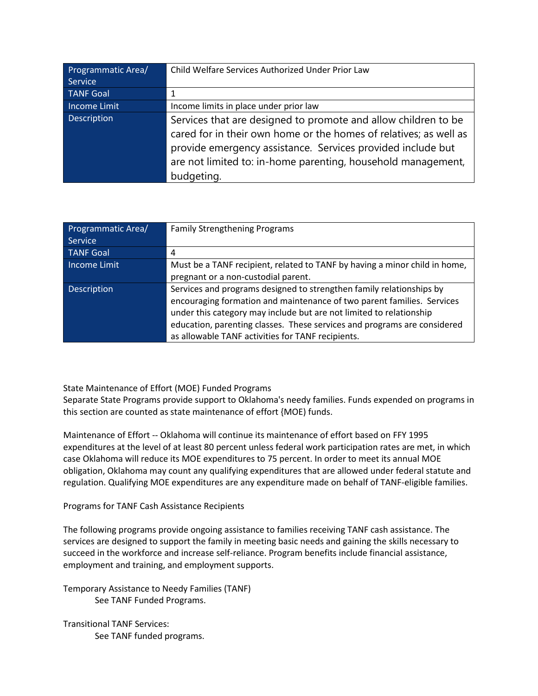| Programmatic Area/ | Child Welfare Services Authorized Under Prior Law                                                                                                                                                                                                                                |
|--------------------|----------------------------------------------------------------------------------------------------------------------------------------------------------------------------------------------------------------------------------------------------------------------------------|
| Service            |                                                                                                                                                                                                                                                                                  |
| <b>TANF Goal</b>   |                                                                                                                                                                                                                                                                                  |
| Income Limit       | Income limits in place under prior law                                                                                                                                                                                                                                           |
| <b>Description</b> | Services that are designed to promote and allow children to be<br>cared for in their own home or the homes of relatives; as well as<br>provide emergency assistance. Services provided include but<br>are not limited to: in-home parenting, household management,<br>budgeting. |

| Programmatic Area/ | <b>Family Strengthening Programs</b>                                       |
|--------------------|----------------------------------------------------------------------------|
| <b>Service</b>     |                                                                            |
| <b>TANF Goal</b>   | 4                                                                          |
| Income Limit       | Must be a TANF recipient, related to TANF by having a minor child in home, |
|                    | pregnant or a non-custodial parent.                                        |
| <b>Description</b> | Services and programs designed to strengthen family relationships by       |
|                    | encouraging formation and maintenance of two parent families. Services     |
|                    | under this category may include but are not limited to relationship        |
|                    | education, parenting classes. These services and programs are considered   |
|                    | as allowable TANF activities for TANF recipients.                          |

State Maintenance of Effort (MOE) Funded Programs

Separate State Programs provide support to Oklahoma's needy families. Funds expended on programs in this section are counted as state maintenance of effort {MOE) funds.

Maintenance of Effort -- Oklahoma will continue its maintenance of effort based on FFY 1995 expenditures at the level of at least 80 percent unless federal work participation rates are met, in which case Oklahoma will reduce its MOE expenditures to 75 percent. In order to meet its annual MOE obligation, Oklahoma may count any qualifying expenditures that are allowed under federal statute and regulation. Qualifying MOE expenditures are any expenditure made on behalf of TANF-eligible families.

## Programs for TANF Cash Assistance Recipients

The following programs provide ongoing assistance to families receiving TANF cash assistance. The services are designed to support the family in meeting basic needs and gaining the skills necessary to succeed in the workforce and increase self-reliance. Program benefits include financial assistance, employment and training, and employment supports.

Temporary Assistance to Needy Families (TANF) See TANF Funded Programs.

Transitional TANF Services: See TANF funded programs.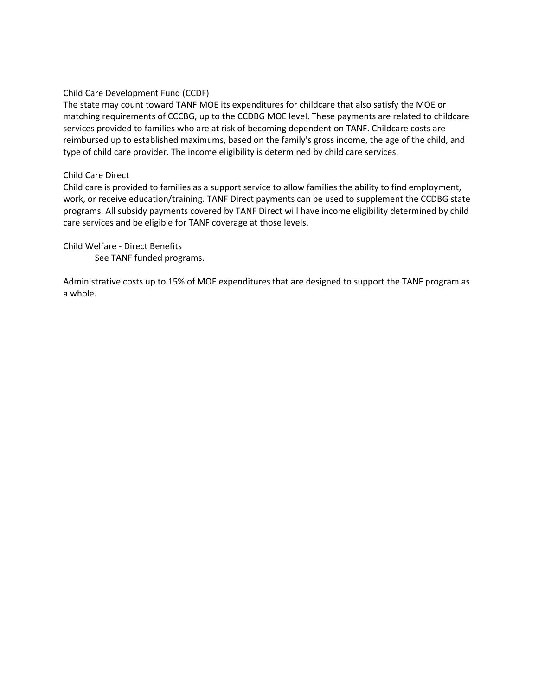Child Care Development Fund (CCDF)

The state may count toward TANF MOE its expenditures for childcare that also satisfy the MOE or matching requirements of CCCBG, up to the CCDBG MOE level. These payments are related to childcare services provided to families who are at risk of becoming dependent on TANF. Childcare costs are reimbursed up to established maximums, based on the family's gross income, the age of the child, and type of child care provider. The income eligibility is determined by child care services.

#### Child Care Direct

Child care is provided to families as a support service to allow families the ability to find employment, work, or receive education/training. TANF Direct payments can be used to supplement the CCDBG state programs. All subsidy payments covered by TANF Direct will have income eligibility determined by child care services and be eligible for TANF coverage at those levels.

Child Welfare - Direct Benefits

See TANF funded programs.

Administrative costs up to 15% of MOE expenditures that are designed to support the TANF program as a whole.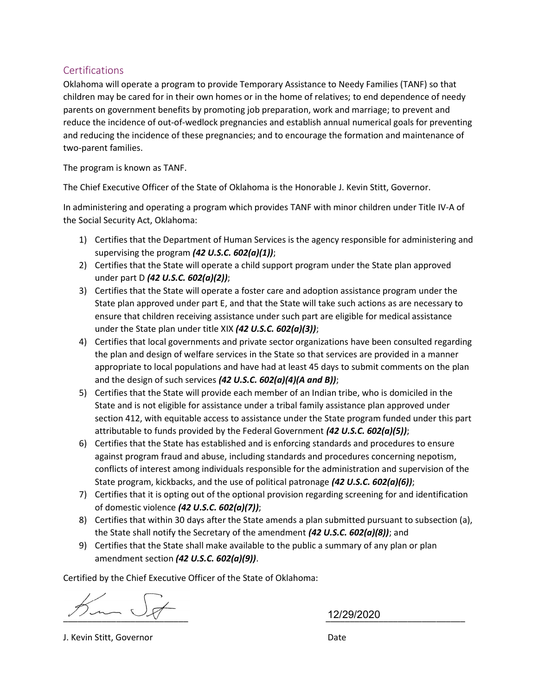## Certifications

Oklahoma will operate a program to provide Temporary Assistance to Needy Families (TANF) so that children may be cared for in their own homes or in the home of relatives; to end dependence of needy parents on government benefits by promoting job preparation, work and marriage; to prevent and reduce the incidence of out-of-wedlock pregnancies and establish annual numerical goals for preventing and reducing the incidence of these pregnancies; and to encourage the formation and maintenance of two-parent families.

The program is known as TANF.

The Chief Executive Officer of the State of Oklahoma is the Honorable J. Kevin Stitt, Governor.

In administering and operating a program which provides TANF with minor children under Title IV-A of the Social Security Act, Oklahoma:

- 1) Certifies that the Department of Human Services is the agency responsible for administering and supervising the program  $(42 U.S.C. 602(a)(1));$
- 2) Certifies that the State will operate a child support program under the State plan approved under part D (42 U.S.C. 602(a)(2));
- 3) Certifies that the State will operate a foster care and adoption assistance program under the State plan approved under part E, and that the State will take such actions as are necessary to ensure that children receiving assistance under such part are eligible for medical assistance under the State plan under title XIX (42 U.S.C.  $602(a)(3)$ );
- 4) Certifies that local governments and private sector organizations have been consulted regarding the plan and design of welfare services in the State so that services are provided in a manner appropriate to local populations and have had at least 45 days to submit comments on the plan and the design of such services (42 U.S.C.  $602(a)(4)(A \text{ and } B)$ );
- 5) Certifies that the State will provide each member of an Indian tribe, who is domiciled in the State and is not eligible for assistance under a tribal family assistance plan approved under section 412, with equitable access to assistance under the State program funded under this part attributable to funds provided by the Federal Government (42 U.S.C. 602(a)(5));
- 6) Certifies that the State has established and is enforcing standards and procedures to ensure against program fraud and abuse, including standards and procedures concerning nepotism, conflicts of interest among individuals responsible for the administration and supervision of the State program, kickbacks, and the use of political patronage (42 U.S.C. 602(a)(6));
- 7) Certifies that it is opting out of the optional provision regarding screening for and identification of domestic violence (42 U.S.C. 602(a)(7));
- 8) Certifies that within 30 days after the State amends a plan submitted pursuant to subsection (a), the State shall notify the Secretary of the amendment  $(42 U.S.C. 602(a)(8))$ ; and
- 9) Certifies that the State shall make available to the public a summary of any plan or plan amendment section (42 U.S.C. 602(a)(9)).

Certified by the Chief Executive Officer of the State of Oklahoma:

 $\frac{1}{2}$   $\frac{1}{2}$   $\frac{1}{2}$   $\frac{1}{2}$   $\frac{1}{2}$   $\frac{1}{2}$   $\frac{1}{2}$   $\frac{1}{2}$   $\frac{1}{2}$   $\frac{1}{2}$   $\frac{1}{2}$   $\frac{1}{2}$   $\frac{1}{2}$   $\frac{1}{2}$   $\frac{1}{2}$   $\frac{1}{2}$   $\frac{1}{2}$   $\frac{1}{2}$   $\frac{1}{2}$   $\frac{1}{2}$   $\frac{1}{2}$   $\frac{1}{2}$ 

12/29/2020

J. Kevin Stitt, Governor Date And The Control of the Date Date Date